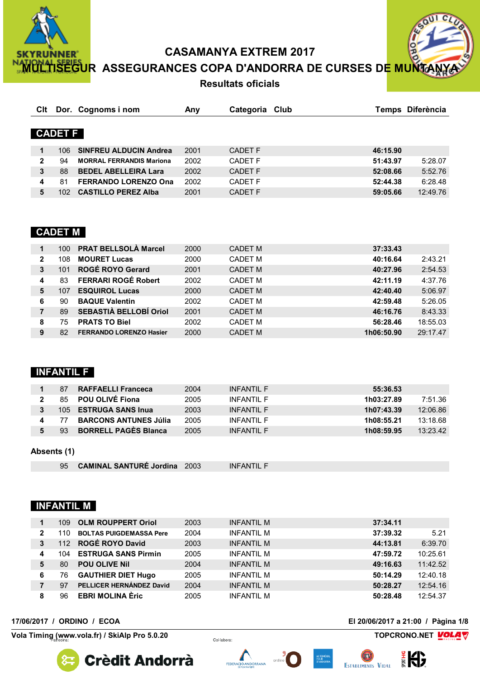

<mark>HISEGU</mark>R ASSEGURANCES COPA D'ANDORRA DE CURSES D<mark>E MUNT</mark>



**Resultats oficials** 

| Clt          |                | Dor. Cognoms i nom              | Any  | Categoria Club |          | Temps Diferència |
|--------------|----------------|---------------------------------|------|----------------|----------|------------------|
|              |                |                                 |      |                |          |                  |
|              | <b>CADET F</b> |                                 |      |                |          |                  |
|              |                |                                 |      |                |          |                  |
| 1            | 106            | <b>SINFREU ALDUCIN Andrea</b>   | 2001 | <b>CADET F</b> | 46:15.90 |                  |
| $\mathbf{2}$ | 94             | <b>MORRAL FERRANDIS Mariona</b> | 2002 | <b>CADET F</b> | 51:43.97 | 5:28.07          |
| 3            | 88             | <b>BEDEL ABELLEIRA Lara</b>     | 2002 | <b>CADET F</b> | 52:08.66 | 5:52.76          |
| 4            | 81             | <b>FERRANDO LORENZO Ona</b>     | 2002 | <b>CADET F</b> | 52:44.38 | 6:28.48          |
| 5            | 102            | <b>CASTILLO PEREZ Alba</b>      | 2001 | <b>CADET F</b> | 59:05.66 | 12:49.76         |

# **CADET M**

|                | 100 | <b>PRAT BELLSOLÀ Marcel</b>    | 2000 | <b>CADET M</b> | 37:33.43   |          |
|----------------|-----|--------------------------------|------|----------------|------------|----------|
| $\mathbf{2}$   | 108 | <b>MOURET Lucas</b>            | 2000 | <b>CADET M</b> | 40:16.64   | 2:43.21  |
| 3              | 101 | <b>ROGÉ ROYO Gerard</b>        | 2001 | <b>CADET M</b> | 40:27.96   | 2:54.53  |
| 4              | 83  | <b>FERRARI ROGÉ Robert</b>     | 2002 | <b>CADET M</b> | 42:11.19   | 4:37.76  |
| 5              | 107 | <b>ESQUIROL Lucas</b>          | 2000 | <b>CADET M</b> | 42:40.40   | 5:06.97  |
| 6              | 90  | <b>BAQUE Valentin</b>          | 2002 | <b>CADET M</b> | 42:59.48   | 5:26.05  |
| $\overline{7}$ | 89  | SEBASTIÀ BELLOBÍ Oriol         | 2001 | <b>CADET M</b> | 46:16.76   | 8:43.33  |
| 8              | 75  | <b>PRATS TO Biel</b>           | 2002 | <b>CADET M</b> | 56:28.46   | 18:55.03 |
| 9              | 82  | <b>FERRANDO LORENZO Hasier</b> | 2000 | <b>CADET M</b> | 1h06:50.90 | 29:17.47 |

# **INFANTIL F**

| 87 | <b>RAFFAELLI Franceca</b>    | 2004 | INFANTII F | 55:36.53               |
|----|------------------------------|------|------------|------------------------|
|    | 85 POU OLIVÉ Fiona           | 2005 | INFANTII F | 1h03:27.89<br>7:51.36  |
|    | 105 ESTRUGA SANS Inua        | 2003 | INFANTII F | 1h07:43.39<br>12:06.86 |
| 77 | <b>BARCONS ANTUNES Júlia</b> | 2005 | INFANTII F | 13:18.68<br>1h08:55.21 |
| 93 | <b>BORRELL PAGÈS Blanca</b>  | 2005 | INFANTII F | 1h08:59.95<br>13:23.42 |

#### Absents (1)

```
95 CAMINAL SANTURÉ Jordina 2003
                           INFANTIL F
```
# **INFANTIL M**

|              | 109  | <b>OLM ROUPPERT Oriol</b>      | 2003 | <b>INFANTIL M</b> | 37:34.11 |          |
|--------------|------|--------------------------------|------|-------------------|----------|----------|
| $\mathbf{2}$ | 110. | <b>BOLTAS PUIGDEMASSA Pere</b> | 2004 | <b>INFANTIL M</b> | 37:39.32 | 5.21     |
| 3            | 112  | <b>ROGÉ ROYO David</b>         | 2003 | <b>INFANTIL M</b> | 44:13.81 | 6:39.70  |
| 4            | 104  | <b>ESTRUGA SANS Pirmin</b>     | 2005 | <b>INFANTIL M</b> | 47:59.72 | 10:25.61 |
| 5            | 80   | <b>POU OLIVE Nil</b>           | 2004 | <b>INFANTIL M</b> | 49:16.63 | 11:42.52 |
| 6            | 76   | <b>GAUTHIER DIET Hugo</b>      | 2005 | <b>INFANTIL M</b> | 50:14.29 | 12:40.18 |
|              | 97   | PELLICER HERNÁNDEZ David       | 2004 | <b>INFANTIL M</b> | 50:28.27 | 12:54.16 |
| 8            | 96   | <b>EBRI MOLINA Èric</b>        | 2005 | <b>INFANTIL M</b> | 50:28.48 | 12:54.37 |

#### 17/06/2017 / ORDINO / ECOA

Vola Timing (www.vola.fr) / SkiAlp Pro 5.0.20

El 20/06/2017 a 21:00 / Pàgina 1/8

TOPCRONO.NET VOLAV





Col·labora:





(m

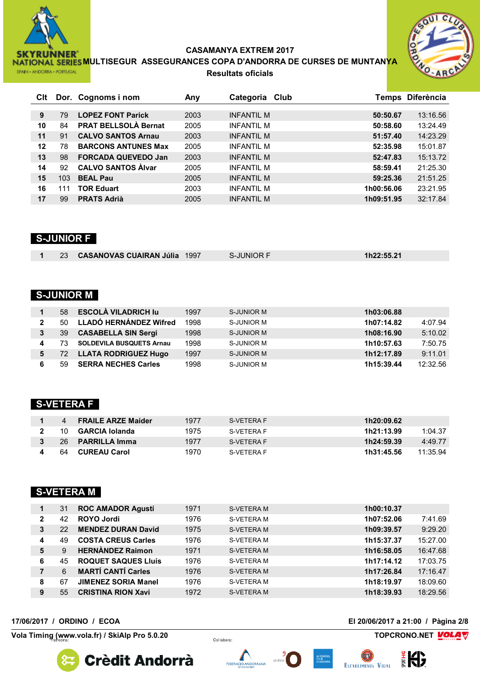

NATIONAL SERIES MULTISEGUR ASSEGURANCES COPA D'ANDORRA DE CURSES DE MUNTANYA **Resultats oficials** 



| <b>C</b> lt |     | Dor. Cognoms i nom          | Any  | Categoria Club    | Temps Diferència       |
|-------------|-----|-----------------------------|------|-------------------|------------------------|
|             |     |                             |      |                   |                        |
| 9           | 79  | <b>LOPEZ FONT Parick</b>    | 2003 | INFANTIL M        | 13:16.56<br>50:50.67   |
| 10          | 84  | <b>PRAT BELLSOLÀ Bernat</b> | 2005 | <b>INFANTIL M</b> | 13:24.49<br>50:58.60   |
| 11          | 91  | <b>CALVO SANTOS Arnau</b>   | 2003 | INFANTIL M        | 14:23.29<br>51:57.40   |
| $12 \,$     | 78  | <b>BARCONS ANTUNES Max</b>  | 2005 | <b>INFANTIL M</b> | 15:01.87<br>52:35.98   |
| 13          | 98  | <b>FORCADA QUEVEDO Jan</b>  | 2003 | <b>INFANTIL M</b> | 15:13.72<br>52:47.83   |
| 14          | 92  | <b>CALVO SANTOS Alvar</b>   | 2005 | <b>INFANTIL M</b> | 21:25.30<br>58:59.41   |
| 15          | 103 | <b>BEAL Pau</b>             | 2005 | <b>INFANTIL M</b> | 21:51.25<br>59:25.36   |
| 16          | 111 | <b>TOR Eduart</b>           | 2003 | <b>INFANTIL M</b> | 23:21.95<br>1h00:56.06 |
| 17          | 99  | <b>PRATS Adrià</b>          | 2005 | <b>INFANTIL M</b> | 32:17.84<br>1h09:51.95 |

# **S-JUNIOR F**

|  | 23 CASANOVAS CUAIRAN Júlia 1997 | - II INIOR E | 1h22:55.21 |
|--|---------------------------------|--------------|------------|
|  |                                 |              |            |

# **S-JUNIOR M**

|              | 58 | <b>ESCOLÀ VILADRICH lu</b>      | 1997 | S-JUNIOR M | 1h03:06.88 |          |
|--------------|----|---------------------------------|------|------------|------------|----------|
| $\mathbf{2}$ | 50 | LLADÓ HERNÁNDEZ Wifred          | 1998 | S-JUNIOR M | 1h07:14.82 | 4:07.94  |
|              | 39 | <b>CASABELLA SIN Sergi</b>      | 1998 | S-JUNIOR M | 1h08:16.90 | 5:10.02  |
| 4            | 73 | <b>SOLDEVILA BUSQUETS Arnau</b> | 1998 | S-JUNIOR M | 1h10:57.63 | 7:50.75  |
| 5            |    | 72 LLATA RODRIGUEZ Hugo         | 1997 | S-JUNIOR M | 1h12:17.89 | 9:11.01  |
|              | 59 | <b>SERRA NECHES Carles</b>      | 1998 | S-JUNIOR M | 1h15:39.44 | 12:32.56 |

# **S-VETERA F**

| 4  | <b>FRAILE ARZE Maider</b> | 1977 | S-VETERA F | 1h20:09.62 |          |
|----|---------------------------|------|------------|------------|----------|
|    | 10 <b>GARCIA Iolanda</b>  | 1975 | S-VETERA F | 1h21:13.99 | 1:04.37  |
|    | 26 <b>PARRILLA Imma</b>   | 1977 | S-VETERA F | 1h24:59.39 | 4:49.77  |
| 64 | CUREAU Carol              | 1970 | S-VETERA F | 1h31:45.56 | 11:35.94 |

# **S-VETERA M**

| 1            | 31 | <b>ROC AMADOR Agustí</b>   | 1971 | S-VETERA M        | 1h00:10.37             |
|--------------|----|----------------------------|------|-------------------|------------------------|
| $\mathbf{2}$ | 42 | <b>ROYO Jordi</b>          | 1976 | S-VETERA M        | 1h07:52.06<br>7:41.69  |
| 3            | 22 | <b>MENDEZ DURAN David</b>  | 1975 | <b>S-VETERA M</b> | 9:29.20<br>1h09:39.57  |
| 4            | 49 | <b>COSTA CREUS Carles</b>  | 1976 | <b>S-VETERA M</b> | 15:27.00<br>1h15:37.37 |
| 5            | 9  | <b>HERNANDEZ Raimon</b>    | 1971 | <b>S-VETERA M</b> | 16:47.68<br>1h16:58.05 |
| 6            | 45 | <b>ROQUET SAQUES LIUÍS</b> | 1976 | S-VETERA M        | 17:03.75<br>1h17:14.12 |
|              | 6  | <b>MARTÍ CANTÍ Carles</b>  | 1976 | <b>S-VETERA M</b> | 17:16.47<br>1h17:26.84 |
| 8            | 67 | <b>JIMENEZ SORIA Manel</b> | 1976 | <b>S-VETERA M</b> | 1h18:19.97<br>18:09.60 |
| 9            | 55 | <b>CRISTINA RION Xavi</b>  | 1972 | <b>S-VETERA M</b> | 1h18:39.93<br>18:29.56 |

#### 17/06/2017 / ORDINO / ECOA

Vola Timing (www.vola.fr) / SkiAlp Pro 5.0.20

El 20/06/2017 a 21:00 / Pàgina 2/8

TOPCRONO.NET VOLAV

設

**Crèdit Andorrà** 



Col·labora:



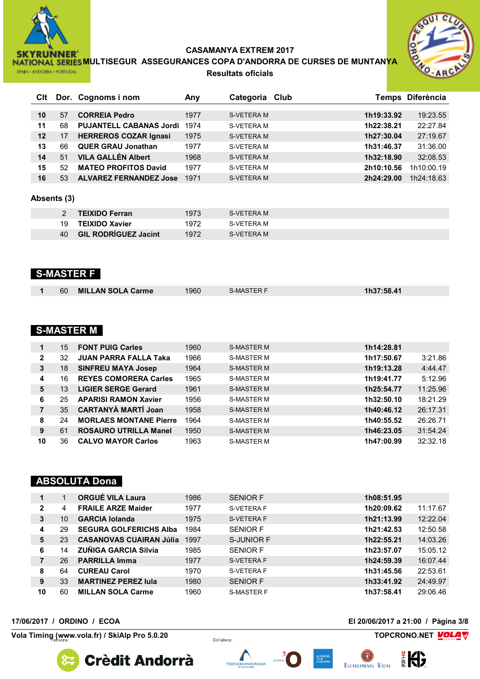

**NATIONAL SERIES MULTISEGUR ASSEGURANCES COPA D'ANDORRA DE CURSES DE MUNTANYA Resultats oficials**



| Clt               |             | Dor. Cognoms i nom             | Any  | Categoria Club                                                        |            | Temps Diferència |
|-------------------|-------------|--------------------------------|------|-----------------------------------------------------------------------|------------|------------------|
|                   |             |                                |      |                                                                       |            |                  |
| 10                | 57          | <b>CORREIA Pedro</b>           | 1977 | S-VETERA M                                                            | 1h19:33.92 | 19:23.55         |
| 11                | 68          | <b>PUJANTELL CABANAS Jordi</b> | 1974 | <b>S-VETERA M</b>                                                     | 1h22:38.21 | 22:27.84         |
| $12 \overline{ }$ | 17          | <b>HERREROS COZAR Ignasi</b>   | 1975 | S-VETERA M                                                            | 1h27:30.04 | 27:19.67         |
| 13                | 66          | <b>QUER GRAU Jonathan</b>      | 1977 | <b>S-VETERA M</b>                                                     | 1h31:46.37 | 31:36.00         |
| 14                | 51          | <b>VILA GALLÉN Albert</b>      | 1968 | <b>S-VETERA M</b>                                                     | 1h32:18.90 | 32:08.53         |
| 15                | 52          | <b>MATEO PROFITOS David</b>    | 1977 | S-VETERA M                                                            | 2h10:10.56 | 1h10:00.19       |
| 16                | 53          | <b>ALVAREZ FERNANDEZ Jose</b>  | 1971 | S-VETERA M                                                            | 2h24:29.00 | 1h24:18.63       |
|                   |             |                                |      |                                                                       |            |                  |
|                   | Absents (3) |                                |      |                                                                       |            |                  |
|                   |             |                                |      |                                                                       |            |                  |
|                   | 2           | <b>TEIXIDO Ferran</b>          | 1973 | S-VETERA M                                                            |            |                  |
|                   | $\sqrt{ }$  | TEIVIRA V                      | 1070 | $\bigcap$ $\bigcap$ $\bigcap$ $\bigcap$ $\bigcap$ $\bigcap$ $\bigcap$ |            |                  |

| 19 | <b>TEIXIDO Xavier</b>       | 1972 | S-VETERA M |
|----|-----------------------------|------|------------|
| 40 | <b>GIL RODRIGUEZ Jacint</b> | 1972 | S-VETERA M |

# **S-MASTER F**

| MILLAN SOLA Carme<br>1960<br>60<br><b>S-MASTER F</b> | 1h37:58.41 |
|------------------------------------------------------|------------|
|------------------------------------------------------|------------|

## **S-MASTER M**

| 1            | 15 | <b>FONT PUIG Carles</b>       | 1960 | <b>S-MASTER M</b> | 1h14:28.81 |          |
|--------------|----|-------------------------------|------|-------------------|------------|----------|
| $\mathbf{2}$ | 32 | <b>JUAN PARRA FALLA Taka</b>  | 1966 | <b>S-MASTER M</b> | 1h17:50.67 | 3:21.86  |
| 3            | 18 | <b>SINFREU MAYA Josep</b>     | 1964 | <b>S-MASTER M</b> | 1h19:13.28 | 4:44.47  |
| 4            | 16 | <b>REYES COMORERA Carles</b>  | 1965 | <b>S-MASTER M</b> | 1h19:41.77 | 5:12.96  |
| 5            | 13 | <b>LIGIER SERGE Gerard</b>    | 1961 | <b>S-MASTER M</b> | 1h25:54.77 | 11:25.96 |
| 6            | 25 | <b>APARISI RAMON Xavier</b>   | 1956 | <b>S-MASTER M</b> | 1h32:50.10 | 18:21.29 |
|              | 35 | <b>CARTANYA MARTI Joan</b>    | 1958 | <b>S-MASTER M</b> | 1h40:46.12 | 26:17.31 |
| 8            | 24 | <b>MORLAES MONTANE Pierre</b> | 1964 | <b>S-MASTER M</b> | 1h40:55.52 | 26:26.71 |
| 9            | 61 | <b>ROSAURO UTRILLA Manel</b>  | 1950 | <b>S-MASTER M</b> | 1h46:23.05 | 31:54.24 |
| 10           | 36 | <b>CALVO MAYOR Carlos</b>     | 1963 | <b>S-MASTER M</b> | 1h47:00.99 | 32:32.18 |

# **ABSOLUTA Dona**

|    |    | <b>ORGUÉ VILA Laura</b>        | 1986 | <b>SENIOR F</b>   | 1h08:51.95 |          |
|----|----|--------------------------------|------|-------------------|------------|----------|
| 2  | 4  | <b>FRAILE ARZE Maider</b>      | 1977 | S-VETERA F        | 1h20:09.62 | 11:17.67 |
| 3  | 10 | <b>GARCIA Iolanda</b>          | 1975 | S-VETERA F        | 1h21:13.99 | 12:22.04 |
| 4  | 29 | <b>SEGURA GOLFERICHS Alba</b>  | 1984 | <b>SENIOR F</b>   | 1h21:42.53 | 12:50.58 |
| 5  | 23 | <b>CASANOVAS CUAIRAN Júlia</b> | 1997 | S-JUNIOR F        | 1h22:55.21 | 14:03.26 |
| 6  | 14 | <b>ZUÑIGA GARCIA Silvia</b>    | 1985 | <b>SENIOR F</b>   | 1h23:57.07 | 15:05.12 |
|    | 26 | <b>PARRILLA Imma</b>           | 1977 | S-VETERA F        | 1h24:59.39 | 16:07.44 |
| 8  | 64 | <b>CUREAU Carol</b>            | 1970 | S-VETERA F        | 1h31:45.56 | 22:53.61 |
| 9  | 33 | <b>MARTINEZ PEREZ Jula</b>     | 1980 | <b>SENIOR F</b>   | 1h33:41.92 | 24:49.97 |
| 10 | 60 | <b>MILLAN SOLA Carme</b>       | 1960 | <b>S-MASTER F</b> | 1h37:58.41 | 29:06.46 |

#### **17/06/2017 / ORDINO / ECOA El 20/06/2017 a 21:00 / Pàgina 3/8**

**Vola Timing (www.vola.fr)** / SkiAlp Pro 5.0.20 *Collabora:* **TOPCRONO.NET** 



Lap<br>Soft







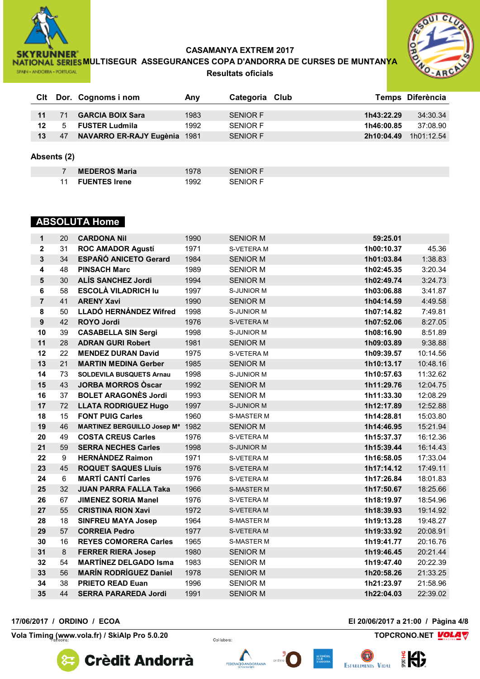

**NATIONAL SERIES MULTISEGUR ASSEGURANCES COPA D'ANDORRA DE CURSES DE MUNTANYA Resultats oficials**



|    |    | CIt Dor. Cognoms i nom  | Any  | Categoria Club  |            | Temps Diferència |
|----|----|-------------------------|------|-----------------|------------|------------------|
| 11 |    | <b>GARCIA BOIX Sara</b> | 1983 | <b>SENIOR F</b> | 1h43:22.29 | 34:30.34         |
| 12 | 5  | <b>FUSTER Ludmila</b>   | 1992 | SENIOR F        | 1h46:00.85 | 37:08.90         |
| 13 | 47 | NAVARRO ER-RAJY Eugènia | 1981 | <b>SENIOR F</b> | 2h10:04.49 | 1h01:12.54       |

#### **Absents (2)**

| <b>MEDEROS Maria</b> | 1978 | <b>SENIOR F</b> |
|----------------------|------|-----------------|
| 11 FUENTES Irene     | 1992 | <b>SENIOR F</b> |

# **ABSOLUTA Home**

| $\mathbf 1$             | 20 | <b>CARDONA Nil</b>                 | 1990 | <b>SENIOR M</b>   | 59:25.01   |          |
|-------------------------|----|------------------------------------|------|-------------------|------------|----------|
| $\mathbf{2}$            | 31 | <b>ROC AMADOR Agustí</b>           | 1971 | S-VETERA M        | 1h00:10.37 | 45.36    |
| $\overline{\mathbf{3}}$ | 34 | <b>ESPAÑÓ ANICETO Gerard</b>       | 1984 | <b>SENIOR M</b>   | 1h01:03.84 | 1:38.83  |
| 4                       | 48 | <b>PINSACH Marc</b>                | 1989 | <b>SENIOR M</b>   | 1h02:45.35 | 3:20.34  |
| 5                       | 30 | <b>ALÍS SANCHEZ Jordi</b>          | 1994 | <b>SENIOR M</b>   | 1h02:49.74 | 3:24.73  |
| 6                       | 58 | <b>ESCOLÀ VILADRICH lu</b>         | 1997 | S-JUNIOR M        | 1h03:06.88 | 3:41.87  |
| $\overline{7}$          | 41 | <b>ARENY Xavi</b>                  | 1990 | <b>SENIOR M</b>   | 1h04:14.59 | 4:49.58  |
| 8                       | 50 | LLADÓ HERNÁNDEZ Wifred             | 1998 | <b>S-JUNIOR M</b> | 1h07:14.82 | 7:49.81  |
| 9                       | 42 | <b>ROYO Jordi</b>                  | 1976 | S-VETERA M        | 1h07:52.06 | 8:27.05  |
| 10                      | 39 | <b>CASABELLA SIN Sergi</b>         | 1998 | <b>S-JUNIOR M</b> | 1h08:16.90 | 8:51.89  |
| 11                      | 28 | <b>ADRAN GURI Robert</b>           | 1981 | <b>SENIOR M</b>   | 1h09:03.89 | 9:38.88  |
| 12                      | 22 | <b>MENDEZ DURAN David</b>          | 1975 | S-VETERA M        | 1h09:39.57 | 10:14.56 |
| 13                      | 21 | <b>MARTIN MEDINA Gerber</b>        | 1985 | <b>SENIOR M</b>   | 1h10:13.17 | 10:48.16 |
| 14                      | 73 | <b>SOLDEVILA BUSQUETS Arnau</b>    | 1998 | <b>S-JUNIOR M</b> | 1h10:57.63 | 11:32.62 |
| 15                      | 43 | <b>JORBA MORROS Oscar</b>          | 1992 | <b>SENIOR M</b>   | 1h11:29.76 | 12:04.75 |
| 16                      | 37 | <b>BOLET ARAGONÈS Jordi</b>        | 1993 | <b>SENIOR M</b>   | 1h11:33.30 | 12:08.29 |
| 17                      | 72 | <b>LLATA RODRIGUEZ Hugo</b>        | 1997 | <b>S-JUNIOR M</b> | 1h12:17.89 | 12:52.88 |
| 18                      | 15 | <b>FONT PUIG Carles</b>            | 1960 | <b>S-MASTER M</b> | 1h14:28.81 | 15:03.80 |
| 19                      | 46 | <b>MARTINEZ BERGUILLO Josep Ma</b> | 1982 | <b>SENIOR M</b>   | 1h14:46.95 | 15:21.94 |
| 20                      | 49 | <b>COSTA CREUS Carles</b>          | 1976 | S-VETERA M        | 1h15:37.37 | 16:12.36 |
| 21                      | 59 | <b>SERRA NECHES Carles</b>         | 1998 | <b>S-JUNIOR M</b> | 1h15:39.44 | 16:14.43 |
| 22                      | 9  | <b>HERNANDEZ Raimon</b>            | 1971 | S-VETERA M        | 1h16:58.05 | 17:33.04 |
| 23                      | 45 | <b>ROQUET SAQUES Lluís</b>         | 1976 | S-VETERA M        | 1h17:14.12 | 17:49.11 |
| 24                      | 6  | <b>MARTÍ CANTÍ Carles</b>          | 1976 | S-VETERA M        | 1h17:26.84 | 18:01.83 |
| 25                      | 32 | <b>JUAN PARRA FALLA Taka</b>       | 1966 | <b>S-MASTER M</b> | 1h17:50.67 | 18:25.66 |
| 26                      | 67 | <b>JIMENEZ SORIA Manel</b>         | 1976 | S-VETERA M        | 1h18:19.97 | 18:54.96 |
| 27                      | 55 | <b>CRISTINA RION Xavi</b>          | 1972 | S-VETERA M        | 1h18:39.93 | 19:14.92 |
| 28                      | 18 | <b>SINFREU MAYA Josep</b>          | 1964 | <b>S-MASTER M</b> | 1h19:13.28 | 19:48.27 |
| 29                      | 57 | <b>CORREIA Pedro</b>               | 1977 | S-VETERA M        | 1h19:33.92 | 20:08.91 |
| 30                      | 16 | <b>REYES COMORERA Carles</b>       | 1965 | <b>S-MASTER M</b> | 1h19:41.77 | 20:16.76 |
| 31                      | 8  | <b>FERRER RIERA Josep</b>          | 1980 | <b>SENIOR M</b>   | 1h19:46.45 | 20:21.44 |
| 32                      | 54 | <b>MARTÍNEZ DELGADO Isma</b>       | 1983 | <b>SENIOR M</b>   | 1h19:47.40 | 20:22.39 |
| 33                      | 56 | <b>MARÍN RODRÍGUEZ Daniel</b>      | 1978 | <b>SENIOR M</b>   | 1h20:58.26 | 21:33.25 |
| 34                      | 38 | <b>PRIETO READ Euan</b>            | 1996 | <b>SENIOR M</b>   | 1h21:23.97 | 21:58.96 |
| 35                      | 44 | <b>SERRA PARAREDA Jordi</b>        | 1991 | <b>SENIOR M</b>   | 1h22:04.03 | 22:39.02 |

**Vola Timing (www.vola.fr)** / SkiAlp Pro 5.0.20 *Collabora:* **TOPCRONO.NET** 

**Crèdit Andorrà** 

**17/06/2017 / ORDINO / ECOA El 20/06/2017 a 21:00 / Pàgina 4/8**

Lap<br>Soft









EV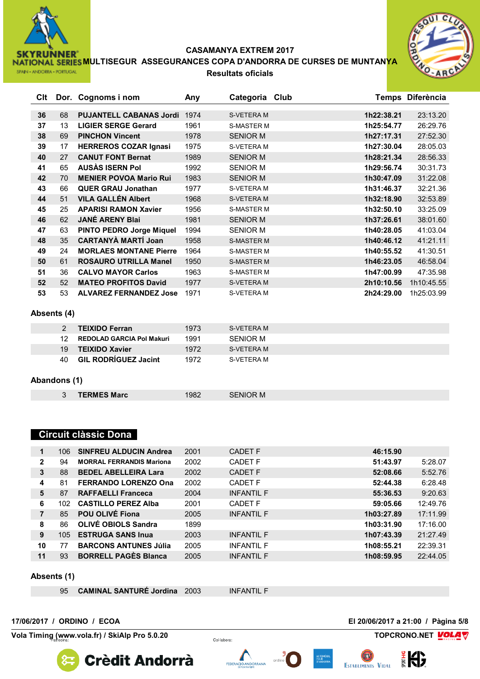

**NATIONAL SERIES MULTISEGUR ASSEGURANCES COPA D'ANDORRA DE CURSES DE MUNTANYA Resultats oficials**



| Clt |    | Dor. Cognoms i nom              | Any  | Categoria Club    |            | Temps Diferència |
|-----|----|---------------------------------|------|-------------------|------------|------------------|
|     |    |                                 |      |                   |            |                  |
| 36  | 68 | <b>PUJANTELL CABANAS Jordi</b>  | 1974 | <b>S-VETERA M</b> | 1h22:38.21 | 23:13.20         |
| 37  | 13 | <b>LIGIER SERGE Gerard</b>      | 1961 | <b>S-MASTER M</b> | 1h25:54.77 | 26:29.76         |
| 38  | 69 | <b>PINCHON Vincent</b>          | 1978 | <b>SENIOR M</b>   | 1h27:17.31 | 27:52.30         |
| 39  | 17 | <b>HERREROS COZAR Ignasi</b>    | 1975 | S-VETERA M        | 1h27:30.04 | 28:05.03         |
| 40  | 27 | <b>CANUT FONT Bernat</b>        | 1989 | <b>SENIOR M</b>   | 1h28:21.34 | 28:56.33         |
| 41  | 65 | <b>AUSAS ISERN Pol</b>          | 1992 | <b>SENIOR M</b>   | 1h29:56.74 | 30:31.73         |
| 42  | 70 | <b>MENIER POVOA Mario Rui</b>   | 1983 | <b>SENIOR M</b>   | 1h30:47.09 | 31:22.08         |
| 43  | 66 | <b>QUER GRAU Jonathan</b>       | 1977 | S-VETERA M        | 1h31:46.37 | 32:21.36         |
| 44  | 51 | <b>VILA GALLÉN Albert</b>       | 1968 | <b>S-VETERA M</b> | 1h32:18.90 | 32:53.89         |
| 45  | 25 | <b>APARISI RAMON Xavier</b>     | 1956 | <b>S-MASTER M</b> | 1h32:50.10 | 33:25.09         |
| 46  | 62 | <b>JANÉ ARENY Blai</b>          | 1981 | <b>SENIOR M</b>   | 1h37:26.61 | 38:01.60         |
| 47  | 63 | <b>PINTO PEDRO Jorge Miquel</b> | 1994 | <b>SENIOR M</b>   | 1h40:28.05 | 41:03.04         |
| 48  | 35 | <b>CARTANYÀ MARTÍ Joan</b>      | 1958 | <b>S-MASTER M</b> | 1h40:46.12 | 41:21.11         |
| 49  | 24 | <b>MORLAES MONTANE Pierre</b>   | 1964 | <b>S-MASTER M</b> | 1h40:55.52 | 41:30.51         |
| 50  | 61 | <b>ROSAURO UTRILLA Manel</b>    | 1950 | <b>S-MASTER M</b> | 1h46:23.05 | 46:58.04         |
| 51  | 36 | <b>CALVO MAYOR Carlos</b>       | 1963 | <b>S-MASTER M</b> | 1h47:00.99 | 47:35.98         |
| 52  | 52 | <b>MATEO PROFITOS David</b>     | 1977 | <b>S-VETERA M</b> | 2h10:10.56 | 1h10:45.55       |
| 53  | 53 | <b>ALVAREZ FERNANDEZ Jose</b>   | 1971 | S-VETERA M        | 2h24:29.00 | 1h25:03.99       |

### **Absents (4)**

| 2  | <b>TEIXIDO Ferran</b>       | 1973 | S-VETERA M |
|----|-----------------------------|------|------------|
| 12 | REDOLAD GARCIA Pol Makuri   | 1991 | SFNIOR M   |
| 19 | <b>TEIXIDO Xavier</b>       | 1972 | S-VETERA M |
| 40 | <b>GIL RODRIGUEZ Jacint</b> | 1972 | S-VETERA M |

### **Abandons (1)**

| <b>TERMES Marc</b> | 1982 |
|--------------------|------|

### **Circuit clàssic Dona**

| 1            | 106. | <b>SINFREU ALDUCIN Andrea</b>   | 2001 | CADET F           | 46:15.90   |          |
|--------------|------|---------------------------------|------|-------------------|------------|----------|
| $\mathbf{2}$ | 94   | <b>MORRAL FERRANDIS Mariona</b> | 2002 | CADET F           | 51:43.97   | 5:28.07  |
| 3            | 88   | <b>BEDEL ABELLEIRA Lara</b>     | 2002 | CADET F           | 52:08.66   | 5:52.76  |
| 4            | 81   | <b>FERRANDO LORENZO Ona</b>     | 2002 | <b>CADET F</b>    | 52:44.38   | 6:28.48  |
| 5            | 87   | <b>RAFFAELLI Franceca</b>       | 2004 | <b>INFANTIL F</b> | 55:36.53   | 9:20.63  |
| 6            | 102  | <b>CASTILLO PEREZ Alba</b>      | 2001 | CADET F           | 59:05.66   | 12:49.76 |
| 7            | 85   | POU OLIVÉ Fiona                 | 2005 | <b>INFANTIL F</b> | 1h03:27.89 | 17:11.99 |
| 8            | 86   | <b>OLIVÉ OBIOLS Sandra</b>      | 1899 |                   | 1h03:31.90 | 17:16.00 |
| 9            | 105  | <b>ESTRUGA SANS Inua</b>        | 2003 | <b>INFANTIL F</b> | 1h07:43.39 | 21:27.49 |
| 10           | 77   | <b>BARCONS ANTUNES Júlia</b>    | 2005 | <b>INFANTIL F</b> | 1h08:55.21 | 22:39.31 |
| 11           | 93   | <b>BORRELL PAGES Blanca</b>     | 2005 | <b>INFANTIL F</b> | 1h08:59.95 | 22:44.05 |

#### **Absents (1)**

**CAMINAL SANTURÉ Jordina** 2003 INFANTIL F

**Crèdit Andorrà** 

FEDERACIÓ ANDORRANA

#### **17/06/2017 / ORDINO / ECOA El 20/06/2017 a 21:00 / Pàgina 5/8**

**Vola Timing (www.vola.fr)** / SkiAlp Pro 5.0.20 *Collabora:* **TOPCRONO.NET** 





**ESTABLIMENTS VIDAL**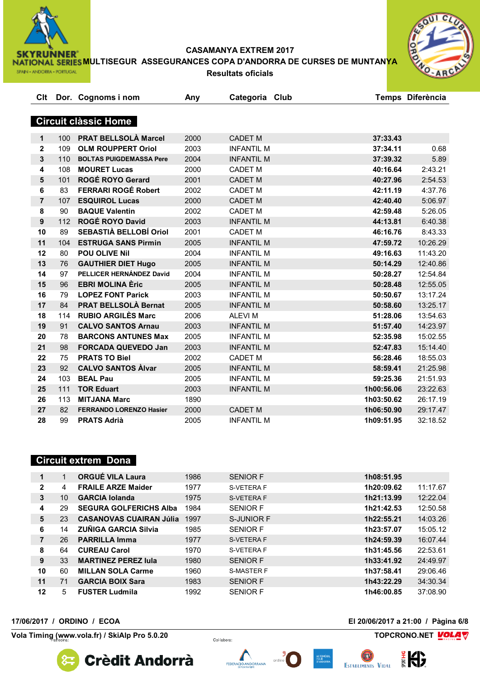

**NATIONAL SERIES MULTISEGUR ASSEGURANCES COPA D'ANDORRA DE CURSES DE MUNTANYA Resultats oficials**



| Clt              |     | Dor. Cognoms i nom             | Any  | Categoria Club    |            | Temps Diferència |
|------------------|-----|--------------------------------|------|-------------------|------------|------------------|
|                  |     |                                |      |                   |            |                  |
|                  |     | <b>Circuit clàssic Home</b>    |      |                   |            |                  |
|                  |     |                                |      |                   |            |                  |
| $\mathbf 1$      | 100 | <b>PRAT BELLSOLÀ Marcel</b>    | 2000 | <b>CADET M</b>    | 37:33.43   |                  |
| $\mathbf{2}$     | 109 | <b>OLM ROUPPERT Oriol</b>      | 2003 | <b>INFANTIL M</b> | 37:34.11   | 0.68             |
| 3                | 110 | <b>BOLTAS PUIGDEMASSA Pere</b> | 2004 | <b>INFANTIL M</b> | 37:39.32   | 5.89             |
| 4                | 108 | <b>MOURET Lucas</b>            | 2000 | <b>CADET M</b>    | 40:16.64   | 2:43.21          |
| 5                | 101 | ROGÉ ROYO Gerard               | 2001 | <b>CADET M</b>    | 40:27.96   | 2:54.53          |
| 6                | 83  | <b>FERRARI ROGÉ Robert</b>     | 2002 | CADET M           | 42:11.19   | 4:37.76          |
| $\overline{7}$   | 107 | <b>ESQUIROL Lucas</b>          | 2000 | <b>CADET M</b>    | 42:40.40   | 5:06.97          |
| 8                | 90  | <b>BAQUE Valentin</b>          | 2002 | <b>CADET M</b>    | 42:59.48   | 5:26.05          |
| $\boldsymbol{9}$ | 112 | <b>ROGÉ ROYO David</b>         | 2003 | <b>INFANTIL M</b> | 44:13.81   | 6:40.38          |
| 10               | 89  | SEBASTIÀ BELLOBÍ Oriol         | 2001 | <b>CADET M</b>    | 46:16.76   | 8:43.33          |
| 11               | 104 | <b>ESTRUGA SANS Pirmin</b>     | 2005 | <b>INFANTIL M</b> | 47:59.72   | 10:26.29         |
| 12               | 80  | <b>POU OLIVE Nil</b>           | 2004 | <b>INFANTIL M</b> | 49:16.63   | 11:43.20         |
| 13               | 76  | <b>GAUTHIER DIET Hugo</b>      | 2005 | <b>INFANTIL M</b> | 50:14.29   | 12:40.86         |
| 14               | 97  | PELLICER HERNÁNDEZ David       | 2004 | <b>INFANTIL M</b> | 50:28.27   | 12:54.84         |
| 15               | 96  | <b>EBRI MOLINA Èric</b>        | 2005 | <b>INFANTIL M</b> | 50:28.48   | 12:55.05         |
| 16               | 79  | <b>LOPEZ FONT Parick</b>       | 2003 | <b>INFANTIL M</b> | 50:50.67   | 13:17.24         |
| 17               | 84  | <b>PRAT BELLSOLÀ Bernat</b>    | 2005 | <b>INFANTIL M</b> | 50:58.60   | 13:25.17         |
| 18               | 114 | <b>RUBIO ARGILÈS Marc</b>      | 2006 | <b>ALEVIM</b>     | 51:28.06   | 13:54.63         |
| 19               | 91  | <b>CALVO SANTOS Arnau</b>      | 2003 | <b>INFANTIL M</b> | 51:57.40   | 14:23.97         |
| 20               | 78  | <b>BARCONS ANTUNES Max</b>     | 2005 | <b>INFANTIL M</b> | 52:35.98   | 15:02.55         |
| 21               | 98  | <b>FORCADA QUEVEDO Jan</b>     | 2003 | <b>INFANTIL M</b> | 52:47.83   | 15:14.40         |
| 22               | 75  | <b>PRATS TO Biel</b>           | 2002 | <b>CADET M</b>    | 56:28.46   | 18:55.03         |
| 23               | 92  | <b>CALVO SANTOS Alvar</b>      | 2005 | <b>INFANTIL M</b> | 58:59.41   | 21:25.98         |
| 24               | 103 | <b>BEAL Pau</b>                | 2005 | <b>INFANTIL M</b> | 59:25.36   | 21:51.93         |
| 25               | 111 | <b>TOR Eduart</b>              | 2003 | <b>INFANTIL M</b> | 1h00:56.06 | 23:22.63         |
| 26               | 113 | <b>MITJANA Marc</b>            | 1890 |                   | 1h03:50.62 | 26:17.19         |
| 27               | 82  | <b>FERRANDO LORENZO Hasier</b> | 2000 | <b>CADET M</b>    | 1h06:50.90 | 29:17.47         |
| 28               | 99  | <b>PRATS Adrià</b>             | 2005 | <b>INFANTIL M</b> | 1h09:51.95 | 32:18.52         |
|                  |     |                                |      |                   |            |                  |

### **Circuit extrem Dona**

| 1  |    | <b>ORGUÉ VILA Laura</b>        | 1986 | <b>SENIOR F</b>   | 1h08:51.95 |          |
|----|----|--------------------------------|------|-------------------|------------|----------|
| 2  | 4  | <b>FRAILE ARZE Maider</b>      | 1977 | S-VETERA F        | 1h20:09.62 | 11:17.67 |
| 3  | 10 | <b>GARCIA Iolanda</b>          | 1975 | <b>S-VETERA F</b> | 1h21:13.99 | 12:22.04 |
| 4  | 29 | <b>SEGURA GOLFERICHS Alba</b>  | 1984 | <b>SENIOR F</b>   | 1h21:42.53 | 12:50.58 |
| 5  | 23 | <b>CASANOVAS CUAIRAN Júlia</b> | 1997 | S-JUNIOR F        | 1h22:55.21 | 14:03.26 |
| 6  | 14 | <b>ZUÑIGA GARCIA Silvia</b>    | 1985 | <b>SENIOR F</b>   | 1h23:57.07 | 15:05.12 |
| 7  | 26 | <b>PARRILLA Imma</b>           | 1977 | S-VETERA F        | 1h24:59.39 | 16:07.44 |
| 8  | 64 | <b>CUREAU Carol</b>            | 1970 | S-VETERA F        | 1h31:45.56 | 22:53.61 |
| 9  | 33 | <b>MARTINEZ PEREZ Jula</b>     | 1980 | <b>SENIOR F</b>   | 1h33:41.92 | 24:49.97 |
| 10 | 60 | <b>MILLAN SOLA Carme</b>       | 1960 | <b>S-MASTER F</b> | 1h37:58.41 | 29:06.46 |
| 11 | 71 | <b>GARCIA BOIX Sara</b>        | 1983 | <b>SENIOR F</b>   | 1h43:22.29 | 34:30.34 |
| 12 | 5  | <b>FUSTER Ludmila</b>          | 1992 | <b>SENIOR F</b>   | 1h46:00.85 | 37:08.90 |
|    |    |                                |      |                   |            |          |

**Vola Timing (www.vola.fr)** / SkiAlp Pro 5.0.20 *Collabora:* **TOPCRONO.NET** 

**17/06/2017 / ORDINO / ECOA El 20/06/2017 a 21:00 / Pàgina 6/8**

Lap<br>Soft

**Crèdit Andorrà** 







EV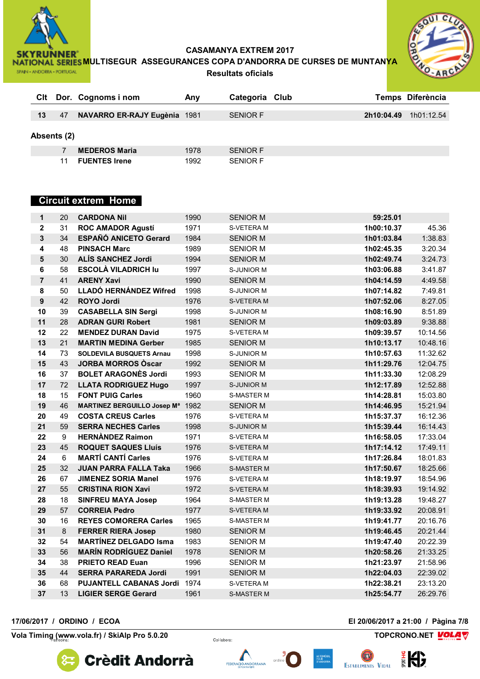

**NATIONAL SERIES MULTISEGUR ASSEGURANCES COPA D'ANDORRA DE CURSES DE MUNTANYA Resultats oficials**



| CIt |             | Dor. Cognoms i nom           | Anv  | Categoria Club  |            | Temps Diferència |
|-----|-------------|------------------------------|------|-----------------|------------|------------------|
| 13  | 47          | NAVARRO ER-RAJY Eugènia 1981 |      | <b>SENIOR F</b> | 2h10:04.49 | 1h01:12.54       |
|     |             |                              |      |                 |            |                  |
|     | Absents (2) |                              |      |                 |            |                  |
|     |             | <b>MEDEROS Maria</b>         | 1978 | <b>SENIOR F</b> |            |                  |
|     |             | <b>FUENTES Irene</b>         | 1992 | <b>SENIOR F</b> |            |                  |

# **Circuit extrem Home**

| 1                       | 20 | <b>CARDONA Nil</b>                 | 1990 | <b>SENIOR M</b>   | 59:25.01   |          |
|-------------------------|----|------------------------------------|------|-------------------|------------|----------|
| $\overline{\mathbf{2}}$ | 31 | <b>ROC AMADOR Agustí</b>           | 1971 | S-VETERA M        | 1h00:10.37 | 45.36    |
| $\overline{\mathbf{3}}$ | 34 | <b>ESPAÑÓ ANICETO Gerard</b>       | 1984 | <b>SENIOR M</b>   | 1h01:03.84 | 1:38.83  |
| 4                       | 48 | <b>PINSACH Marc</b>                | 1989 | <b>SENIOR M</b>   | 1h02:45.35 | 3:20.34  |
| $5\phantom{1}$          | 30 | <b>ALÍS SANCHEZ Jordi</b>          | 1994 | <b>SENIOR M</b>   | 1h02:49.74 | 3:24.73  |
| 6                       | 58 | <b>ESCOLÀ VILADRICH lu</b>         | 1997 | S-JUNIOR M        | 1h03:06.88 | 3:41.87  |
| $\overline{7}$          | 41 | <b>ARENY Xavi</b>                  | 1990 | <b>SENIOR M</b>   | 1h04:14.59 | 4:49.58  |
| 8                       | 50 | LLADÓ HERNÁNDEZ Wifred             | 1998 | S-JUNIOR M        | 1h07:14.82 | 7:49.81  |
| 9                       | 42 | <b>ROYO Jordi</b>                  | 1976 | S-VETERA M        | 1h07:52.06 | 8:27.05  |
| 10                      | 39 | <b>CASABELLA SIN Sergi</b>         | 1998 | S-JUNIOR M        | 1h08:16.90 | 8:51.89  |
| 11                      | 28 | <b>ADRAN GURI Robert</b>           | 1981 | <b>SENIOR M</b>   | 1h09:03.89 | 9:38.88  |
| 12                      | 22 | <b>MENDEZ DURAN David</b>          | 1975 | S-VETERA M        | 1h09:39.57 | 10:14.56 |
| 13                      | 21 | <b>MARTIN MEDINA Gerber</b>        | 1985 | <b>SENIOR M</b>   | 1h10:13.17 | 10:48.16 |
| 14                      | 73 | <b>SOLDEVILA BUSQUETS Arnau</b>    | 1998 | S-JUNIOR M        | 1h10:57.63 | 11:32.62 |
| 15                      | 43 | <b>JORBA MORROS Oscar</b>          | 1992 | <b>SENIOR M</b>   | 1h11:29.76 | 12:04.75 |
| 16                      | 37 | <b>BOLET ARAGONÈS Jordi</b>        | 1993 | <b>SENIOR M</b>   | 1h11:33.30 | 12:08.29 |
| 17                      | 72 | <b>LLATA RODRIGUEZ Hugo</b>        | 1997 | <b>S-JUNIOR M</b> | 1h12:17.89 | 12:52.88 |
| 18                      | 15 | <b>FONT PUIG Carles</b>            | 1960 | <b>S-MASTER M</b> | 1h14:28.81 | 15:03.80 |
| 19                      | 46 | <b>MARTINEZ BERGUILLO Josep Ma</b> | 1982 | <b>SENIOR M</b>   | 1h14:46.95 | 15:21.94 |
| 20                      | 49 | <b>COSTA CREUS Carles</b>          | 1976 | S-VETERA M        | 1h15:37.37 | 16:12.36 |
| 21                      | 59 | <b>SERRA NECHES Carles</b>         | 1998 | <b>S-JUNIOR M</b> | 1h15:39.44 | 16:14.43 |
| 22                      | 9  | <b>HERNANDEZ Raimon</b>            | 1971 | S-VETERA M        | 1h16:58.05 | 17:33.04 |
| 23                      | 45 | <b>ROQUET SAQUES Lluís</b>         | 1976 | S-VETERA M        | 1h17:14.12 | 17:49.11 |
| 24                      | 6  | <b>MARTÍ CANTÍ Carles</b>          | 1976 | S-VETERA M        | 1h17:26.84 | 18:01.83 |
| 25                      | 32 | <b>JUAN PARRA FALLA Taka</b>       | 1966 | <b>S-MASTER M</b> | 1h17:50.67 | 18:25.66 |
| 26                      | 67 | <b>JIMENEZ SORIA Manel</b>         | 1976 | S-VETERA M        | 1h18:19.97 | 18:54.96 |
| 27                      | 55 | <b>CRISTINA RION Xavi</b>          | 1972 | <b>S-VETERA M</b> | 1h18:39.93 | 19:14.92 |
| 28                      | 18 | <b>SINFREU MAYA Josep</b>          | 1964 | <b>S-MASTER M</b> | 1h19:13.28 | 19:48.27 |
| 29                      | 57 | <b>CORREIA Pedro</b>               | 1977 | S-VETERA M        | 1h19:33.92 | 20:08.91 |
| 30                      | 16 | <b>REYES COMORERA Carles</b>       | 1965 | S-MASTER M        | 1h19:41.77 | 20:16.76 |
| 31                      | 8  | <b>FERRER RIERA Josep</b>          | 1980 | <b>SENIOR M</b>   | 1h19:46.45 | 20:21.44 |
| 32                      | 54 | <b>MARTÍNEZ DELGADO Isma</b>       | 1983 | <b>SENIOR M</b>   | 1h19:47.40 | 20:22.39 |
| 33                      | 56 | <b>MARÍN RODRÍGUEZ Daniel</b>      | 1978 | <b>SENIOR M</b>   | 1h20:58.26 | 21:33.25 |
| 34                      | 38 | <b>PRIETO READ Euan</b>            | 1996 | <b>SENIOR M</b>   | 1h21:23.97 | 21:58.96 |
| 35                      | 44 | <b>SERRA PARAREDA Jordi</b>        | 1991 | <b>SENIOR M</b>   | 1h22:04.03 | 22:39.02 |
| 36                      | 68 | <b>PUJANTELL CABANAS Jordi</b>     | 1974 | S-VETERA M        | 1h22:38.21 | 23:13.20 |
| 37                      | 13 | <b>LIGIER SERGE Gerard</b>         | 1961 | <b>S-MASTER M</b> | 1h25:54.77 | 26:29.76 |

**17/06/2017 / ORDINO / ECOA El 20/06/2017 a 21:00 / Pàgina 7/8**

**Vola Timing (www.vola.fr)** / SkiAlp Pro 5.0.20 *Collabora:* **TOPCRONO.NET** 









EV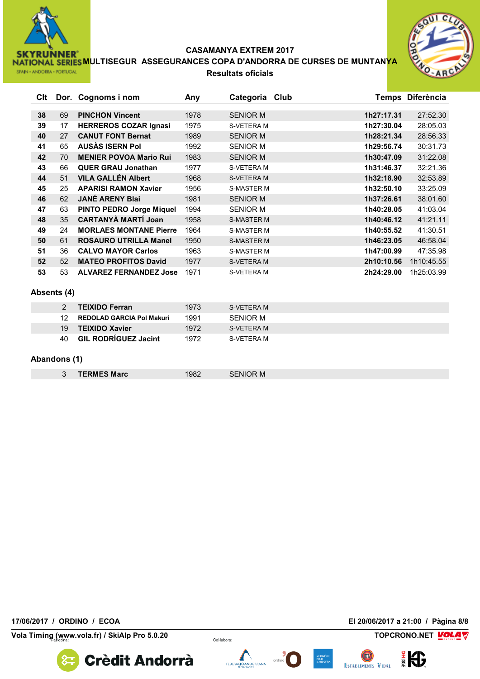

**NATIONAL SERIES MULTISEGUR ASSEGURANCES COPA D'ANDORRA DE CURSES DE MUNTANYA** SPAIN - ANDORRA - PORTUGAL **Resultats oficials**



| Clt |    | Dor. Cognoms i nom              | Any  | Categoria Club    |            | Temps Diferència |
|-----|----|---------------------------------|------|-------------------|------------|------------------|
|     |    |                                 |      |                   |            |                  |
| 38  | 69 | <b>PINCHON Vincent</b>          | 1978 | <b>SENIOR M</b>   | 1h27:17.31 | 27:52.30         |
| 39  | 17 | <b>HERREROS COZAR Ignasi</b>    | 1975 | S-VETERA M        | 1h27:30.04 | 28:05.03         |
| 40  | 27 | <b>CANUT FONT Bernat</b>        | 1989 | <b>SENIOR M</b>   | 1h28:21.34 | 28:56.33         |
| 41  | 65 | <b>AUSAS ISERN Pol</b>          | 1992 | <b>SENIOR M</b>   | 1h29:56.74 | 30:31.73         |
| 42  | 70 | <b>MENIER POVOA Mario Rui</b>   | 1983 | <b>SENIOR M</b>   | 1h30:47.09 | 31:22.08         |
| 43  | 66 | <b>QUER GRAU Jonathan</b>       | 1977 | S-VETERA M        | 1h31:46.37 | 32:21.36         |
| 44  | 51 | <b>VILA GALLÉN Albert</b>       | 1968 | S-VETERA M        | 1h32:18.90 | 32:53.89         |
| 45  | 25 | <b>APARISI RAMON Xavier</b>     | 1956 | <b>S-MASTER M</b> | 1h32:50.10 | 33:25.09         |
| 46  | 62 | <b>JANÉ ARENY Blai</b>          | 1981 | <b>SENIOR M</b>   | 1h37:26.61 | 38:01.60         |
| 47  | 63 | <b>PINTO PEDRO Jorge Miquel</b> | 1994 | <b>SENIOR M</b>   | 1h40:28.05 | 41:03.04         |
| 48  | 35 | <b>CARTANYÀ MARTÍ Joan</b>      | 1958 | <b>S-MASTER M</b> | 1h40:46.12 | 41:21.11         |
| 49  | 24 | <b>MORLAES MONTANE Pierre</b>   | 1964 | <b>S-MASTER M</b> | 1h40:55.52 | 41:30.51         |
| 50  | 61 | <b>ROSAURO UTRILLA Manel</b>    | 1950 | <b>S-MASTER M</b> | 1h46:23.05 | 46:58.04         |
| 51  | 36 | <b>CALVO MAYOR Carlos</b>       | 1963 | <b>S-MASTER M</b> | 1h47:00.99 | 47:35.98         |
| 52  | 52 | <b>MATEO PROFITOS David</b>     | 1977 | S-VETERA M        | 2h10:10.56 | 1h10:45.55       |
| 53  | 53 | <b>ALVAREZ FERNANDEZ Jose</b>   | 1971 | S-VETERA M        | 2h24:29.00 | 1h25:03.99       |

### **Absents (4)**

|     | <b>TEIXIDO Ferran</b>            | 1973 | S-VFTFRA M |
|-----|----------------------------------|------|------------|
| 12. | <b>REDOLAD GARCIA Pol Makuri</b> | 1991 | SENIOR M   |
| 19  | <b>TEIXIDO Xavier</b>            | 1972 | S-VETERA M |
| 40. | <b>GIL RODRÍGUEZ Jacint</b>      | 1972 | S-VETERA M |

### **Abandons (1)**

| <b>TERMES Marc</b> | 1982 | <b>SENIOR M</b> |  |
|--------------------|------|-----------------|--|
|--------------------|------|-----------------|--|

**17/06/2017 / ORDINO / ECOA El 20/06/2017 a 21:00 / Pàgina 8/8**

**Vola Timing (www.vola.fr)** / SkiAlp Pro 5.0.20 *Collabora:* **TOPCRONO.NET** 









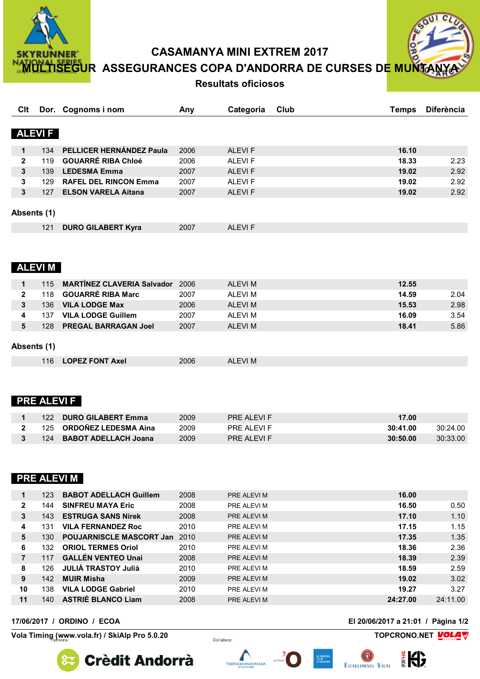

**CASAMANYA MINI EXTREM 2017** 

<mark>HISEGU</mark>R ASSEGURANCES COPA D'ANDORRA DE CURSES DE<mark>:</mark>

### **Resultats oficiosos**

| $c_{L}$<br>60   |
|-----------------|
| <b>MUNTANYA</b> |

| Clt          |                    | Dor. Cognoms i nom                     | Any  | Categoria     | Club | <b>Temps</b> | <b>Diferència</b> |
|--------------|--------------------|----------------------------------------|------|---------------|------|--------------|-------------------|
|              |                    |                                        |      |               |      |              |                   |
|              | <b>ALEVI F</b>     |                                        |      |               |      |              |                   |
| 1            | 134                | PELLICER HERNÁNDEZ Paula               | 2006 | <b>ALEVIF</b> |      | 16.10        |                   |
| $\mathbf{2}$ | 119                | <b>GOUARRÉ RIBA Chloé</b>              | 2006 | <b>ALEVIF</b> |      | 18.33        | 2.23              |
| 3            | 139                | <b>LEDESMA Emma</b>                    | 2007 | <b>ALEVIF</b> |      | 19.02        | 2.92              |
| 3            | 129                | <b>RAFEL DEL RINCON Emma</b>           | 2007 | <b>ALEVIF</b> |      | 19.02        | 2.92              |
| 3            | 127                | <b>ELSON VARELA Aitana</b>             | 2007 | <b>ALEVIF</b> |      | 19.02        | 2.92              |
| Absents (1)  |                    |                                        |      |               |      |              |                   |
|              | 121                | <b>DURO GILABERT Kyra</b>              | 2007 | <b>ALEVIF</b> |      |              |                   |
|              | <b>ALEVIM</b>      |                                        |      |               |      |              |                   |
| $\mathbf 1$  | 115                | <b>MARTÍNEZ CLAVERIA Salvador</b> 2006 |      | <b>ALEVIM</b> |      | 12.55        |                   |
| $\mathbf{2}$ | 118                | <b>GOUARRÉ RIBA Marc</b>               | 2007 | <b>ALEVIM</b> |      | 14.59        | 2.04              |
| 3            | 136                | <b>VILA LODGE Max</b>                  | 2006 | <b>ALEVIM</b> |      | 15.53        | 2.98              |
| 4            | 137                | <b>VILA LODGE Guillem</b>              | 2007 | <b>ALEVIM</b> |      | 16.09        | 3.54              |
| 5            | 128                | <b>PREGAL BARRAGAN Joel</b>            | 2007 | <b>ALEVIM</b> |      | 18.41        | 5.86              |
| Absents (1)  |                    |                                        |      |               |      |              |                   |
|              | 116                | <b>LOPEZ FONT Axel</b>                 | 2006 | <b>ALEVIM</b> |      |              |                   |
|              | <b>PRE ALEVI F</b> |                                        |      |               |      |              |                   |

| <b>DURO GILABERT Emma</b><br>122   | 2009 | PRE ALFVLF | 17.00    |          |
|------------------------------------|------|------------|----------|----------|
| 125 ORDOÑEZ LEDESMA Aina           | 2009 | PRE ALFVLF | 30:41.00 | 30:24.00 |
| <b>BABOT ADELLACH Joana</b><br>124 | 2009 | PRE ALEVLE | 30:50.00 | 30:33.00 |

### **PRE ALEVI M**

|              | 123 | <b>BABOT ADELLACH Guillem</b>   | 2008 | PRE ALEVI M       | 16.00    |          |
|--------------|-----|---------------------------------|------|-------------------|----------|----------|
| $\mathbf{2}$ | 144 | <b>SINFREU MAYA Eric</b>        | 2008 | PRE ALEVI M       | 16.50    | 0.50     |
| 3            | 143 | <b>ESTRUGA SANS Nirek</b>       | 2008 | PRE ALEVI M       | 17.10    | 1.10     |
| 4            | 131 | <b>VILA FERNANDEZ Roc</b>       | 2010 | PRE ALEVI M       | 17.15    | 1.15     |
| 5            | 130 | <b>POUJARNISCLE MASCORT Jan</b> | 2010 | PRE ALEVI M       | 17.35    | 1.35     |
| 6            | 132 | <b>ORIOL TERMES Oriol</b>       | 2010 | PRE ALEVI M       | 18.36    | 2.36     |
| 7            | 117 | <b>GALLÉN VENTEO Unai</b>       | 2008 | PRE ALEVI M       | 18.39    | 2.39     |
| 8            | 126 | <b>JULIA TRASTOY Julià</b>      | 2010 | PRE ALEVI M       | 18.59    | 2.59     |
| 9            | 142 | <b>MUIR Misha</b>               | 2009 | PRE ALEVI M       | 19.02    | 3.02     |
| 10           | 138 | <b>VILA LODGE Gabriel</b>       | 2010 | PRE ALEVI M       | 19.27    | 3.27     |
| 11           | 140 | <b>ASTRIÉ BLANCO Liam</b>       | 2008 | <b>PRE ALEVIM</b> | 24:27.00 | 24:11.00 |

17/06/2017 / ORDINO / ECOA

Vola Timing (www.vola.fr) / SkiAlp Pro 5.0.20

El 20/06/2017 a 21:01 / Pàgina 1/2

設

TOPCRONO.NET VOLAV

**Crèdit Andorrà** 

Col·labora: